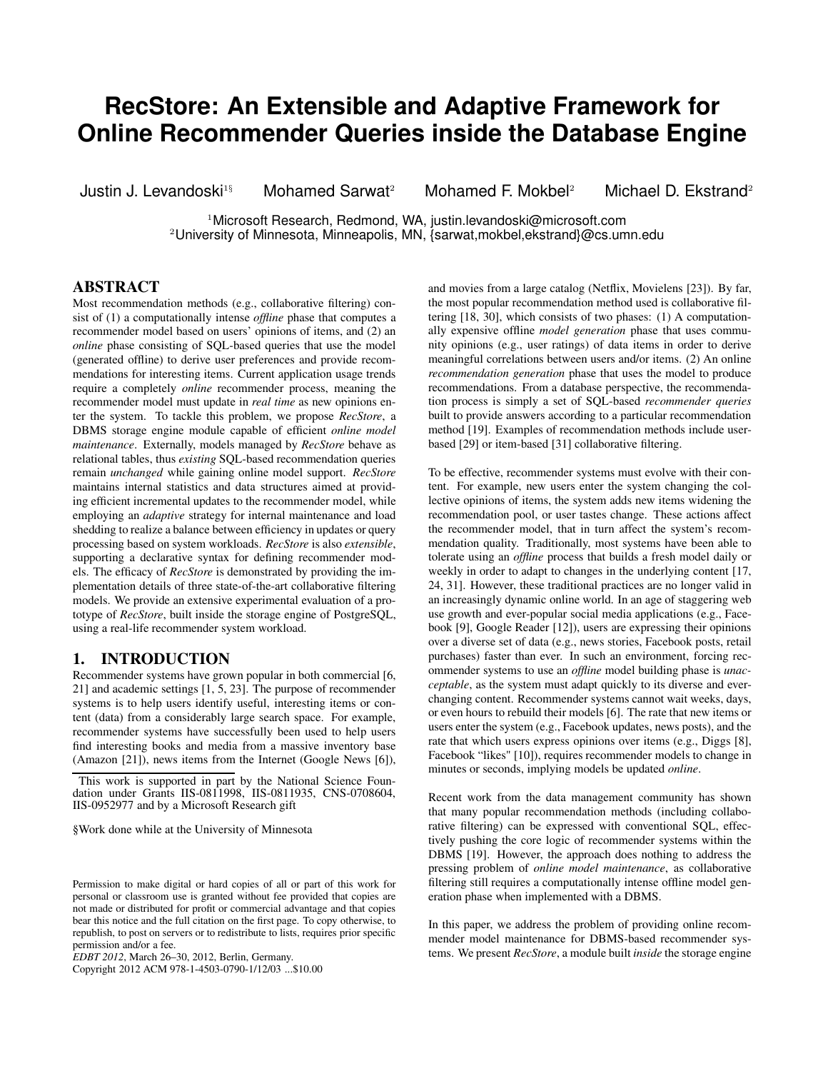# **RecStore: An Extensible and Adaptive Framework for Online Recommender Queries inside the Database Engine**

Justin J. Levandoski<sup>1§</sup> Mohamed Sarwat<sup>2</sup> Mohamed F. Mokbel<sup>2</sup> Michael D. Ekstrand<sup>2</sup>

<sup>1</sup>Microsoft Research, Redmond, WA, justin.levandoski@microsoft.com <sup>2</sup>University of Minnesota, Minneapolis, MN, {sarwat,mokbel,ekstrand}@cs.umn.edu

# **ABSTRACT**

Most recommendation methods (e.g., collaborative filtering) consist of (1) a computationally intense *offline* phase that computes a recommender model based on users' opinions of items, and (2) an *online* phase consisting of SQL-based queries that use the model (generated offline) to derive user preferences and provide recommendations for interesting items. Current application usage trends require a completely *online* recommender process, meaning the recommender model must update in *real time* as new opinions enter the system. To tackle this problem, we propose *RecStore*, a DBMS storage engine module capable of efficient *online model maintenance*. Externally, models managed by *RecStore* behave as relational tables, thus *existing* SQL-based recommendation queries remain *unchanged* while gaining online model support. *RecStore* maintains internal statistics and data structures aimed at providing efficient incremental updates to the recommender model, while employing an *adaptive* strategy for internal maintenance and load shedding to realize a balance between efficiency in updates or query processing based on system workloads. *RecStore* is also *extensible*, supporting a declarative syntax for defining recommender models. The efficacy of *RecStore* is demonstrated by providing the implementation details of three state-of-the-art collaborative filtering models. We provide an extensive experimental evaluation of a prototype of *RecStore*, built inside the storage engine of PostgreSQL, using a real-life recommender system workload.

# **1. INTRODUCTION**

Recommender systems have grown popular in both commercial [6, 21] and academic settings [1, 5, 23]. The purpose of recommender systems is to help users identify useful, interesting items or content (data) from a considerably large search space. For example, recommender systems have successfully been used to help users find interesting books and media from a massive inventory base (Amazon [21]), news items from the Internet (Google News [6]),

This work is supported in part by the National Science Foundation under Grants IIS-0811998, IIS-0811935, CNS-0708604, IIS-0952977 and by a Microsoft Research gift

§Work done while at the University of Minnesota

Copyright 2012 ACM 978-1-4503-0790-1/12/03 ...\$10.00

and movies from a large catalog (Netflix, Movielens [23]). By far, the most popular recommendation method used is collaborative filtering [18, 30], which consists of two phases: (1) A computationally expensive offline *model generation* phase that uses community opinions (e.g., user ratings) of data items in order to derive meaningful correlations between users and/or items. (2) An online *recommendation generation* phase that uses the model to produce recommendations. From a database perspective, the recommendation process is simply a set of SQL-based *recommender queries* built to provide answers according to a particular recommendation method [19]. Examples of recommendation methods include userbased [29] or item-based [31] collaborative filtering.

To be effective, recommender systems must evolve with their content. For example, new users enter the system changing the collective opinions of items, the system adds new items widening the recommendation pool, or user tastes change. These actions affect the recommender model, that in turn affect the system's recommendation quality. Traditionally, most systems have been able to tolerate using an *offline* process that builds a fresh model daily or weekly in order to adapt to changes in the underlying content [17, 24, 31]. However, these traditional practices are no longer valid in an increasingly dynamic online world. In an age of staggering web use growth and ever-popular social media applications (e.g., Facebook [9], Google Reader [12]), users are expressing their opinions over a diverse set of data (e.g., news stories, Facebook posts, retail purchases) faster than ever. In such an environment, forcing recommender systems to use an *offline* model building phase is *unacceptable*, as the system must adapt quickly to its diverse and everchanging content. Recommender systems cannot wait weeks, days, or even hours to rebuild their models [6]. The rate that new items or users enter the system (e.g., Facebook updates, news posts), and the rate that which users express opinions over items (e.g., Diggs [8], Facebook "likes" [10]), requires recommender models to change in minutes or seconds, implying models be updated *online*.

Recent work from the data management community has shown that many popular recommendation methods (including collaborative filtering) can be expressed with conventional SQL, effectively pushing the core logic of recommender systems within the DBMS [19]. However, the approach does nothing to address the pressing problem of *online model maintenance*, as collaborative filtering still requires a computationally intense offline model generation phase when implemented with a DBMS.

In this paper, we address the problem of providing online recommender model maintenance for DBMS-based recommender systems. We present *RecStore*, a module built *inside* the storage engine

Permission to make digital or hard copies of all or part of this work for personal or classroom use is granted without fee provided that copies are not made or distributed for profit or commercial advantage and that copies bear this notice and the full citation on the first page. To copy otherwise, to republish, to post on servers or to redistribute to lists, requires prior specific permission and/or a fee.

*EDBT 2012*, March 26–30, 2012, Berlin, Germany.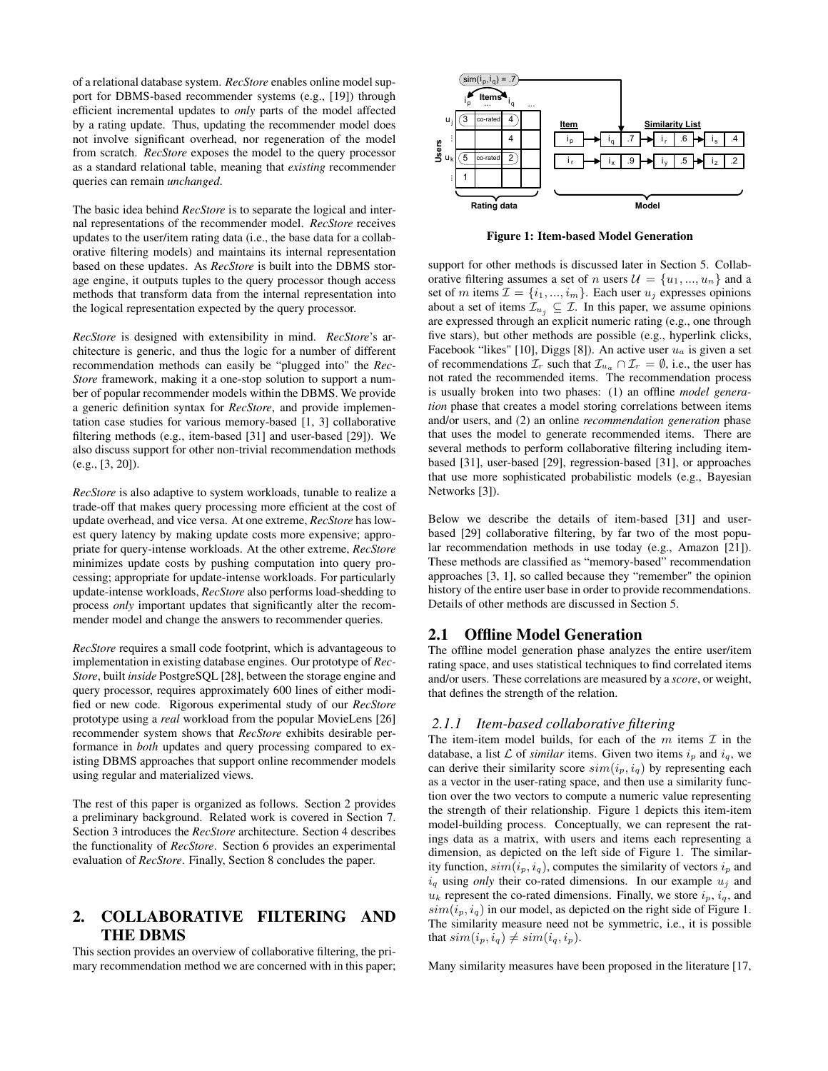of a relational database system. *RecStore* enables online model support for DBMS-based recommender systems (e.g., [19]) through efficient incremental updates to *only* parts of the model affected by a rating update. Thus, updating the recommender model does not involve significant overhead, nor regeneration of the model from scratch. *RecStore* exposes the model to the query processor as a standard relational table, meaning that *existing* recommender queries can remain *unchanged*.

The basic idea behind *RecStore* is to separate the logical and internal representations of the recommender model. *RecStore* receives updates to the user/item rating data (i.e., the base data for a collaborative filtering models) and maintains its internal representation based on these updates. As *RecStore* is built into the DBMS storage engine, it outputs tuples to the query processor though access methods that transform data from the internal representation into the logical representation expected by the query processor.

*RecStore* is designed with extensibility in mind. *RecStore*'s architecture is generic, and thus the logic for a number of different recommendation methods can easily be "plugged into" the *Rec-Store* framework, making it a one-stop solution to support a number of popular recommender models within the DBMS. We provide a generic definition syntax for *RecStore*, and provide implementation case studies for various memory-based [1, 3] collaborative filtering methods (e.g., item-based [31] and user-based [29]). We also discuss support for other non-trivial recommendation methods (e.g., [3, 20]).

*RecStore* is also adaptive to system workloads, tunable to realize a trade-off that makes query processing more efficient at the cost of update overhead, and vice versa. At one extreme, *RecStore* has lowest query latency by making update costs more expensive; appropriate for query-intense workloads. At the other extreme, *RecStore* minimizes update costs by pushing computation into query processing; appropriate for update-intense workloads. For particularly update-intense workloads, *RecStore* also performs load-shedding to process *only* important updates that significantly alter the recommender model and change the answers to recommender queries.

*RecStore* requires a small code footprint, which is advantageous to implementation in existing database engines. Our prototype of *Rec-Store*, built *inside* PostgreSQL [28], between the storage engine and query processor, requires approximately 600 lines of either modified or new code. Rigorous experimental study of our *RecStore* prototype using a *real* workload from the popular MovieLens [26] recommender system shows that *RecStore* exhibits desirable performance in *both* updates and query processing compared to existing DBMS approaches that support online recommender models using regular and materialized views.

The rest of this paper is organized as follows. Section 2 provides a preliminary background. Related work is covered in Section 7. Section 3 introduces the *RecStore* architecture. Section 4 describes the functionality of *RecStore*. Section 6 provides an experimental evaluation of *RecStore*. Finally, Section 8 concludes the paper.

# **2. COLLABORATIVE FILTERING AND THE DBMS**

This section provides an overview of collaborative filtering, the primary recommendation method we are concerned with in this paper;



**Figure 1: Item-based Model Generation**

support for other methods is discussed later in Section 5. Collaborative filtering assumes a set of n users  $\mathcal{U} = \{u_1, ..., u_n\}$  and a set of m items  $\mathcal{I} = \{i_1, ..., i_m\}$ . Each user  $u_j$  expresses opinions about a set of items  $\mathcal{I}_{u_i} \subseteq \mathcal{I}$ . In this paper, we assume opinions are expressed through an explicit numeric rating (e.g., one through five stars), but other methods are possible (e.g., hyperlink clicks, Facebook "likes" [10], Diggs [8]). An active user  $u_a$  is given a set of recommendations  $\mathcal{I}_r$  such that  $\mathcal{I}_{u_a} \cap \mathcal{I}_r = \emptyset$ , i.e., the user has not rated the recommended items. The recommendation process is usually broken into two phases: (1) an offline *model generation* phase that creates a model storing correlations between items and/or users, and (2) an online *recommendation generation* phase that uses the model to generate recommended items. There are several methods to perform collaborative filtering including itembased [31], user-based [29], regression-based [31], or approaches that use more sophisticated probabilistic models (e.g., Bayesian Networks [3]).

Below we describe the details of item-based [31] and userbased [29] collaborative filtering, by far two of the most popular recommendation methods in use today (e.g., Amazon [21]). These methods are classified as "memory-based" recommendation approaches [3, 1], so called because they "remember" the opinion history of the entire user base in order to provide recommendations. Details of other methods are discussed in Section 5.

## **2.1 Offline Model Generation**

The offline model generation phase analyzes the entire user/item rating space, and uses statistical techniques to find correlated items and/or users. These correlations are measured by a *score*, or weight, that defines the strength of the relation.

#### *2.1.1 Item-based collaborative filtering*

The item-item model builds, for each of the  $m$  items  $\mathcal I$  in the database, a list L of *similar* items. Given two items  $i_p$  and  $i_q$ , we can derive their similarity score  $sim(i_p, i_q)$  by representing each as a vector in the user-rating space, and then use a similarity function over the two vectors to compute a numeric value representing the strength of their relationship. Figure 1 depicts this item-item model-building process. Conceptually, we can represent the ratings data as a matrix, with users and items each representing a dimension, as depicted on the left side of Figure 1. The similarity function,  $sim(i_p, i_q)$ , computes the similarity of vectors  $i_p$  and  $i_q$  using *only* their co-rated dimensions. In our example  $u_j$  and  $u_k$  represent the co-rated dimensions. Finally, we store  $i_p$ ,  $i_q$ , and  $sim(i_p, i_q)$  in our model, as depicted on the right side of Figure 1. The similarity measure need not be symmetric, i.e., it is possible that  $sim(i_p, i_q) \neq sim(i_q, i_p)$ .

Many similarity measures have been proposed in the literature [17,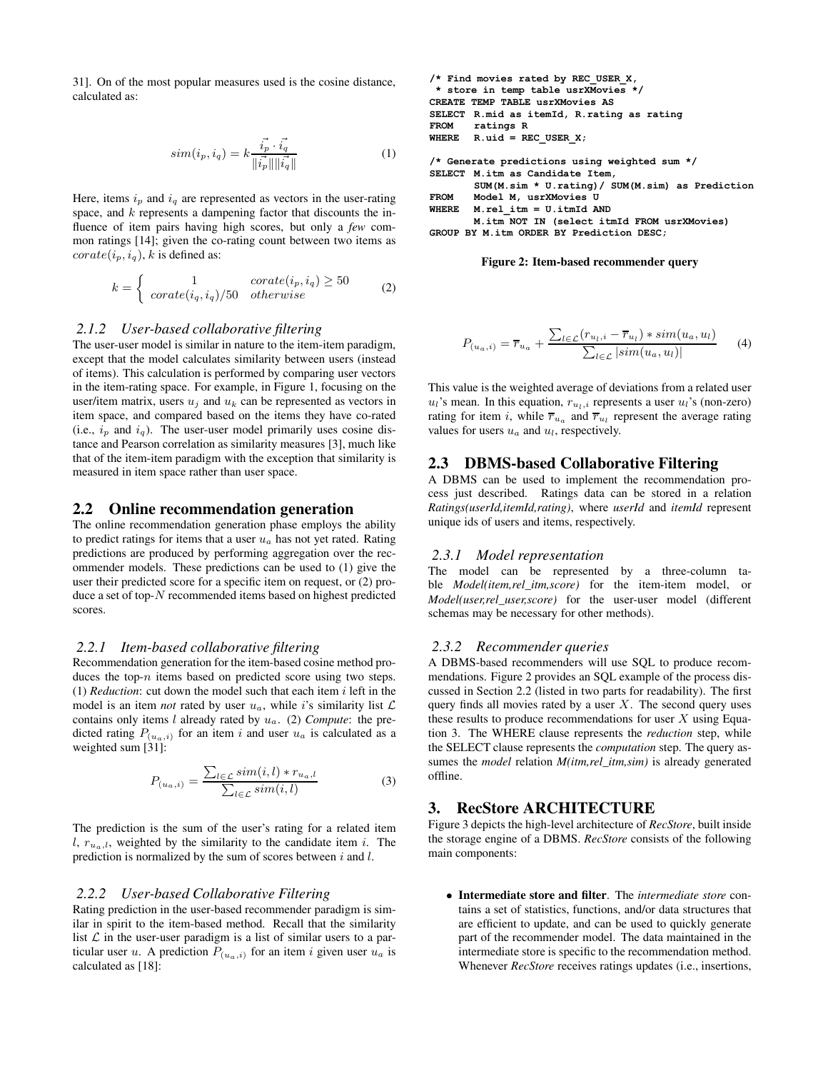31]. On of the most popular measures used is the cosine distance, calculated as:

$$
sim(i_p, i_q) = k \frac{\vec{i_p} \cdot \vec{i_q}}{\|\vec{i_p}\| \|\vec{i_q}\|}
$$
 (1)

Here, items  $i_p$  and  $i_q$  are represented as vectors in the user-rating space, and  $k$  represents a dampening factor that discounts the influence of item pairs having high scores, but only a *few* common ratings [14]; given the co-rating count between two items as  $corate(i_p, i_q)$ , k is defined as:

$$
k = \begin{cases} 1 & \text{corate}(i_p, i_q) \ge 50 \\ \text{corate}(i_q, i_q) / 50 & \text{otherwise} \end{cases} \tag{2}
$$

#### *2.1.2 User-based collaborative filtering*

The user-user model is similar in nature to the item-item paradigm, except that the model calculates similarity between users (instead of items). This calculation is performed by comparing user vectors in the item-rating space. For example, in Figure 1, focusing on the user/item matrix, users  $u_j$  and  $u_k$  can be represented as vectors in item space, and compared based on the items they have co-rated (i.e.,  $i_p$  and  $i_q$ ). The user-user model primarily uses cosine distance and Pearson correlation as similarity measures [3], much like that of the item-item paradigm with the exception that similarity is measured in item space rather than user space.

#### **2.2 Online recommendation generation**

The online recommendation generation phase employs the ability to predict ratings for items that a user  $u_a$  has not yet rated. Rating predictions are produced by performing aggregation over the recommender models. These predictions can be used to (1) give the user their predicted score for a specific item on request, or (2) produce a set of top-N recommended items based on highest predicted scores.

#### *2.2.1 Item-based collaborative filtering*

Recommendation generation for the item-based cosine method produces the top- $n$  items based on predicted score using two steps. (1) *Reduction*: cut down the model such that each item i left in the model is an item *not* rated by user  $u_a$ , while i's similarity list  $\mathcal L$ contains only items l already rated by ua. (2) *Compute*: the predicted rating  $P_{(u_a,i)}$  for an item i and user  $u_a$  is calculated as a weighted sum [31]:

$$
P_{(u_a,i)} = \frac{\sum_{l \in \mathcal{L}} sim(i,l) * r_{u_a,l}}{\sum_{l \in \mathcal{L}} sim(i,l)}
$$
(3)

The prediction is the sum of the user's rating for a related item l,  $r_{u_n,l}$ , weighted by the similarity to the candidate item i. The prediction is normalized by the sum of scores between  $i$  and  $l$ .

#### *2.2.2 User-based Collaborative Filtering*

Rating prediction in the user-based recommender paradigm is similar in spirit to the item-based method. Recall that the similarity list  $\mathcal L$  in the user-user paradigm is a list of similar users to a particular user u. A prediction  $P_{(u_a,i)}$  for an item i given user  $u_a$  is calculated as [18]:

```
/* Find movies rated by REC_USER_X,
 * store in temp table usrXMovies */
CREATE TEMP TABLE usrXMovies AS
SELECT R.mid as itemId, R.rating as rating<br>FROM     ratings R
        ratings RWHERE R.uid = REC \text{ USER } X;/* Generate predictions using weighted sum */
SELECT M.itm as Candidate Item,
         \texttt{SUM}(M.sim \; * \; U.rating) \, / \; \texttt{SUM}(M.sim) as Prediction
FROM Model M, usrXMovies U
WHERE M.rel\_itm = U.itmId ANDM.itm NOT IN (select itmId FROM usrXMovies)
GROUP BY M.itm ORDER BY Prediction DESC;
```
#### **Figure 2: Item-based recommender query**

$$
P_{(u_a,i)} = \overline{r}_{u_a} + \frac{\sum_{l \in \mathcal{L}} (r_{u_l,i} - \overline{r}_{u_l}) * sim(u_a, u_l)}{\sum_{l \in \mathcal{L}} |sim(u_a, u_l)|} \tag{4}
$$

This value is the weighted average of deviations from a related user  $u_l$ 's mean. In this equation,  $r_{u_l,i}$  represents a user  $u_l$ 's (non-zero) rating for item *i*, while  $\overline{r}_{u_a}$  and  $\overline{r}_{u_l}$  represent the average rating values for users  $u_a$  and  $u_l$ , respectively.

### **2.3 DBMS-based Collaborative Filtering**

A DBMS can be used to implement the recommendation process just described. Ratings data can be stored in a relation *Ratings(userId,itemId,rating)*, where *userId* and *itemId* represent unique ids of users and items, respectively.

### *2.3.1 Model representation*

The model can be represented by a three-column table *Model(item,rel\_itm,score)* for the item-item model, or *Model(user,rel\_user,score)* for the user-user model (different schemas may be necessary for other methods).

### *2.3.2 Recommender queries*

A DBMS-based recommenders will use SQL to produce recommendations. Figure 2 provides an SQL example of the process discussed in Section 2.2 (listed in two parts for readability). The first query finds all movies rated by a user  $X$ . The second query uses these results to produce recommendations for user  $X$  using Equation 3. The WHERE clause represents the *reduction* step, while the SELECT clause represents the *computation* step. The query assumes the *model* relation *M(itm,rel\_itm,sim)* is already generated offline.

# **3. RecStore ARCHITECTURE**

Figure 3 depicts the high-level architecture of *RecStore*, built inside the storage engine of a DBMS. *RecStore* consists of the following main components:

• **Intermediate store and filter**. The *intermediate store* contains a set of statistics, functions, and/or data structures that are efficient to update, and can be used to quickly generate part of the recommender model. The data maintained in the intermediate store is specific to the recommendation method. Whenever *RecStore* receives ratings updates (i.e., insertions,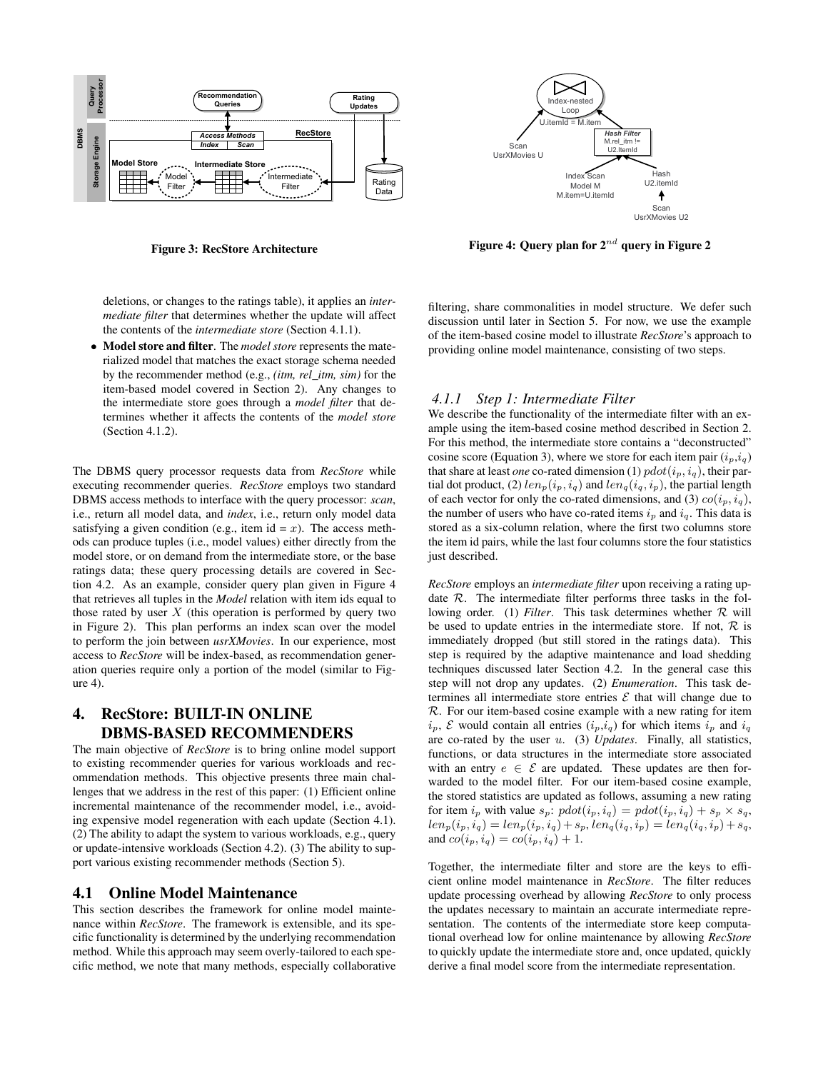

**Figure 3: RecStore Architecture**

deletions, or changes to the ratings table), it applies an *intermediate filter* that determines whether the update will affect the contents of the *intermediate store* (Section 4.1.1).

• **Model store and filter**. The *model store* represents the materialized model that matches the exact storage schema needed by the recommender method (e.g., *(itm, rel\_itm, sim)* for the item-based model covered in Section 2). Any changes to the intermediate store goes through a *model filter* that determines whether it affects the contents of the *model store* (Section 4.1.2).

The DBMS query processor requests data from *RecStore* while executing recommender queries. *RecStore* employs two standard DBMS access methods to interface with the query processor: *scan*, i.e., return all model data, and *index*, i.e., return only model data satisfying a given condition (e.g., item id =  $x$ ). The access methods can produce tuples (i.e., model values) either directly from the model store, or on demand from the intermediate store, or the base ratings data; these query processing details are covered in Section 4.2. As an example, consider query plan given in Figure 4 that retrieves all tuples in the *Model* relation with item ids equal to those rated by user  $X$  (this operation is performed by query two in Figure 2). This plan performs an index scan over the model to perform the join between *usrXMovies*. In our experience, most access to *RecStore* will be index-based, as recommendation generation queries require only a portion of the model (similar to Figure 4).

# **4. RecStore: BUILT-IN ONLINE DBMS-BASED RECOMMENDERS**

The main objective of *RecStore* is to bring online model support to existing recommender queries for various workloads and recommendation methods. This objective presents three main challenges that we address in the rest of this paper: (1) Efficient online incremental maintenance of the recommender model, i.e., avoiding expensive model regeneration with each update (Section 4.1). (2) The ability to adapt the system to various workloads, e.g., query or update-intensive workloads (Section 4.2). (3) The ability to support various existing recommender methods (Section 5).

## **4.1 Online Model Maintenance**

This section describes the framework for online model maintenance within *RecStore*. The framework is extensible, and its specific functionality is determined by the underlying recommendation method. While this approach may seem overly-tailored to each specific method, we note that many methods, especially collaborative



**Figure 4: Query plan for 2**nd **query in Figure 2**

filtering, share commonalities in model structure. We defer such discussion until later in Section 5. For now, we use the example of the item-based cosine model to illustrate *RecStore*'s approach to providing online model maintenance, consisting of two steps.

### *4.1.1 Step 1: Intermediate Filter*

We describe the functionality of the intermediate filter with an example using the item-based cosine method described in Section 2. For this method, the intermediate store contains a "deconstructed" cosine score (Equation 3), where we store for each item pair  $(i_p, i_q)$ that share at least *one* co-rated dimension (1)  $pdot(i_p, i_q)$ , their partial dot product, (2)  $len_p(i_p, i_q)$  and  $len_q(i_q, i_p)$ , the partial length of each vector for only the co-rated dimensions, and (3)  $co(i_p, i_q)$ , the number of users who have co-rated items  $i_p$  and  $i_q$ . This data is stored as a six-column relation, where the first two columns store the item id pairs, while the last four columns store the four statistics just described.

*RecStore* employs an *intermediate filter* upon receiving a rating update  $R$ . The intermediate filter performs three tasks in the following order. (1) *Filter*. This task determines whether R will be used to update entries in the intermediate store. If not,  $R$  is immediately dropped (but still stored in the ratings data). This step is required by the adaptive maintenance and load shedding techniques discussed later Section 4.2. In the general case this step will not drop any updates. (2) *Enumeration*. This task determines all intermediate store entries  $\mathcal E$  that will change due to  $R$ . For our item-based cosine example with a new rating for item  $i_p$ ,  $\mathcal E$  would contain all entries  $(i_p,i_q)$  for which items  $i_p$  and  $i_q$ are co-rated by the user u. (3) *Updates*. Finally, all statistics, functions, or data structures in the intermediate store associated with an entry  $e \in \mathcal{E}$  are updated. These updates are then forwarded to the model filter. For our item-based cosine example, the stored statistics are updated as follows, assuming a new rating for item  $i_p$  with value  $s_p$ :  $pdot(i_p, i_q) = pdot(i_p, i_q) + s_p \times s_q$ ,  $len_p(i_p, i_q) = len_p(i_p, i_q) + s_p, len_q(i_q, i_p) = len_q(i_q, i_p) + s_q,$ and  $co(i_p, i_q) = co(i_p, i_q) + 1$ .

Together, the intermediate filter and store are the keys to efficient online model maintenance in *RecStore*. The filter reduces update processing overhead by allowing *RecStore* to only process the updates necessary to maintain an accurate intermediate representation. The contents of the intermediate store keep computational overhead low for online maintenance by allowing *RecStore* to quickly update the intermediate store and, once updated, quickly derive a final model score from the intermediate representation.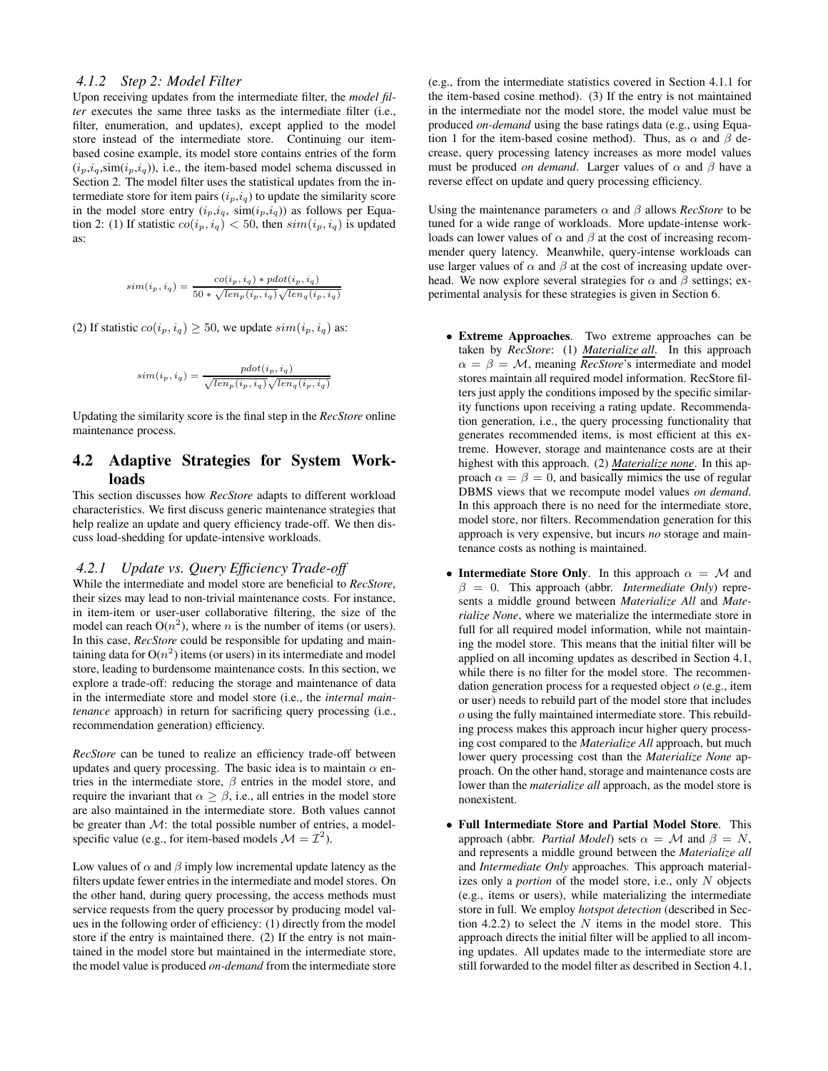# *4.1.2 Step 2: Model Filter*

Upon receiving updates from the intermediate filter, the *model filter* executes the same three tasks as the intermediate filter (i.e., filter, enumeration, and updates), except applied to the model store instead of the intermediate store. Continuing our itembased cosine example, its model store contains entries of the form  $(i_p, i_q, \text{sim}(i_p, i_q))$ , i.e., the item-based model schema discussed in Section 2. The model filter uses the statistical updates from the intermediate store for item pairs  $(i_p,i_q)$  to update the similarity score in the model store entry  $(i_p,i_q, \, \text{sim}(i_p,i_q))$  as follows per Equation 2: (1) If statistic  $co(i_p, i_q) < 50$ , then  $sim(i_p, i_q)$  is updated as:

$$
sim(i_p, i_q) = \frac{co(i_p, i_q) * pdot(i_p, i_q)}{50 * \sqrt{len_p(i_p, i_q)} \sqrt{len_q(i_p, i_q)}}
$$

(2) If statistic  $co(i_p, i_q) \ge 50$ , we update  $sim(i_p, i_q)$  as:

$$
sim(i_p, i_q) = \frac{pdot(i_p, i_q)}{\sqrt{len_p(i_p, i_q)}\sqrt{len_q(i_p, i_q)}}
$$

Updating the similarity score is the final step in the *RecStore* online maintenance process.

# **4.2 Adaptive Strategies for System Workloads**

This section discusses how *RecStore* adapts to different workload characteristics. We first discuss generic maintenance strategies that help realize an update and query efficiency trade-off. We then discuss load-shedding for update-intensive workloads.

#### *4.2.1 Update vs. Query Efficiency Trade-off*

While the intermediate and model store are beneficial to *RecStore*, their sizes may lead to non-trivial maintenance costs. For instance, in item-item or user-user collaborative filtering, the size of the model can reach  $O(n^2)$ , where *n* is the number of items (or users). In this case, *RecStore* could be responsible for updating and maintaining data for  $O(n^2)$  items (or users) in its intermediate and model store, leading to burdensome maintenance costs. In this section, we explore a trade-off: reducing the storage and maintenance of data in the intermediate store and model store (i.e., the *internal maintenance* approach) in return for sacrificing query processing (i.e., recommendation generation) efficiency.

*RecStore* can be tuned to realize an efficiency trade-off between updates and query processing. The basic idea is to maintain  $\alpha$  entries in the intermediate store,  $\beta$  entries in the model store, and require the invariant that  $\alpha \geq \beta$ , i.e., all entries in the model store are also maintained in the intermediate store. Both values cannot be greater than  $M$ : the total possible number of entries, a modelspecific value (e.g., for item-based models  $\mathcal{M} = \mathcal{I}^2$ ).

Low values of  $\alpha$  and  $\beta$  imply low incremental update latency as the filters update fewer entries in the intermediate and model stores. On the other hand, during query processing, the access methods must service requests from the query processor by producing model values in the following order of efficiency: (1) directly from the model store if the entry is maintained there. (2) If the entry is not maintained in the model store but maintained in the intermediate store, the model value is produced *on-demand* from the intermediate store (e.g., from the intermediate statistics covered in Section 4.1.1 for the item-based cosine method). (3) If the entry is not maintained in the intermediate nor the model store, the model value must be produced *on-demand* using the base ratings data (e.g., using Equation 1 for the item-based cosine method). Thus, as  $\alpha$  and  $\beta$  decrease, query processing latency increases as more model values must be produced *on demand*. Larger values of  $\alpha$  and  $\beta$  have a reverse effect on update and query processing efficiency.

Using the maintenance parameters  $\alpha$  and  $\beta$  allows *RecStore* to be tuned for a wide range of workloads. More update-intense workloads can lower values of  $\alpha$  and  $\beta$  at the cost of increasing recommender query latency. Meanwhile, query-intense workloads can use larger values of  $\alpha$  and  $\beta$  at the cost of increasing update overhead. We now explore several strategies for  $\alpha$  and  $\beta$  settings; experimental analysis for these strategies is given in Section 6.

- **Extreme Approaches**. Two extreme approaches can be taken by *RecStore*: (1) *Materialize all*. In this approach  $\alpha = \beta = M$ , meaning *RecStore's* intermediate and model stores maintain all required model information. RecStore filters just apply the conditions imposed by the specific similarity functions upon receiving a rating update. Recommendation generation, i.e., the query processing functionality that generates recommended items, is most efficient at this extreme. However, storage and maintenance costs are at their highest with this approach. (2) *Materialize none*. In this approach  $\alpha = \beta = 0$ , and basically mimics the use of regular DBMS views that we recompute model values *on demand*. In this approach there is no need for the intermediate store, model store, nor filters. Recommendation generation for this approach is very expensive, but incurs *no* storage and maintenance costs as nothing is maintained.
- **Intermediate Store Only**. In this approach  $\alpha = M$  and  $\beta = 0$ . This approach (abbr. *Intermediate Only*) represents a middle ground between *Materialize All* and *Materialize None*, where we materialize the intermediate store in full for all required model information, while not maintaining the model store. This means that the initial filter will be applied on all incoming updates as described in Section 4.1, while there is no filter for the model store. The recommendation generation process for a requested object  $o$  (e.g., item or user) needs to rebuild part of the model store that includes o using the fully maintained intermediate store. This rebuilding process makes this approach incur higher query processing cost compared to the *Materialize All* approach, but much lower query processing cost than the *Materialize None* approach. On the other hand, storage and maintenance costs are lower than the *materialize all* approach, as the model store is nonexistent.
- **Full Intermediate Store and Partial Model Store**. This approach (abbr. *Partial Model*) sets  $\alpha = M$  and  $\beta = N$ , and represents a middle ground between the *Materialize all* and *Intermediate Only* approaches. This approach materializes only a *portion* of the model store, i.e., only N objects (e.g., items or users), while materializing the intermediate store in full. We employ *hotspot detection* (described in Section 4.2.2) to select the  $N$  items in the model store. This approach directs the initial filter will be applied to all incoming updates. All updates made to the intermediate store are still forwarded to the model filter as described in Section 4.1,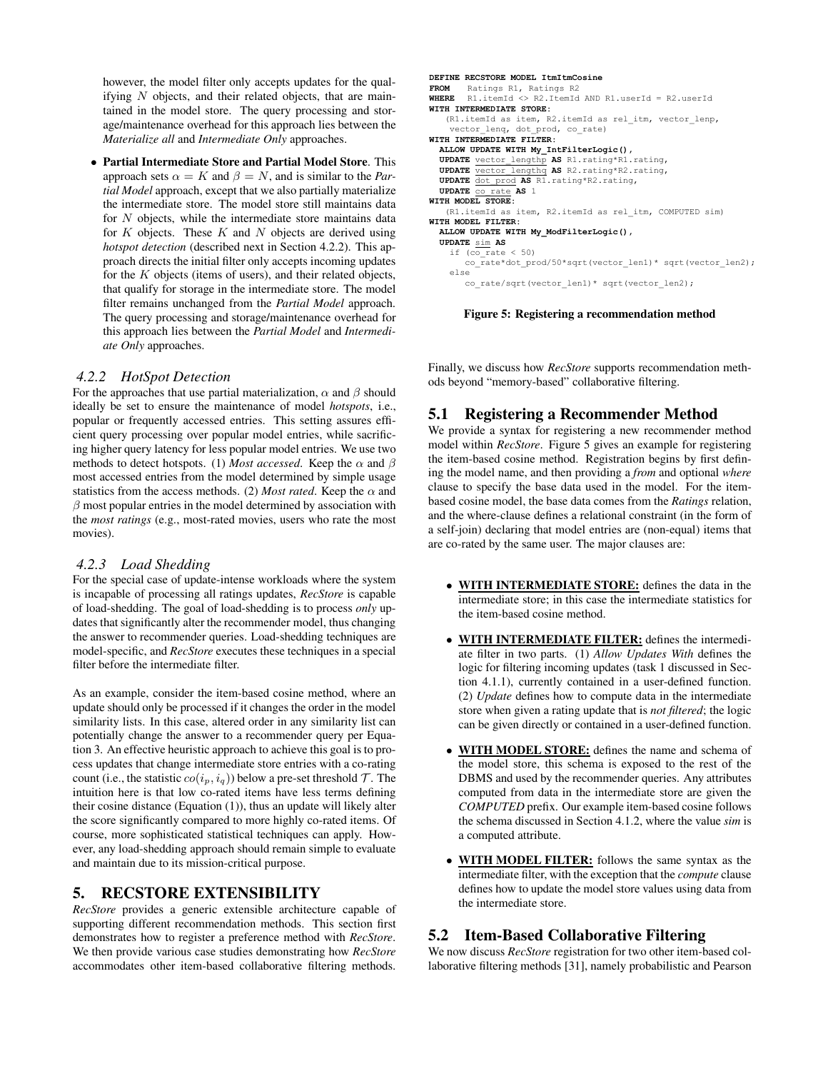however, the model filter only accepts updates for the qualifying N objects, and their related objects, that are maintained in the model store. The query processing and storage/maintenance overhead for this approach lies between the *Materialize all* and *Intermediate Only* approaches.

• **Partial Intermediate Store and Partial Model Store**. This approach sets  $\alpha = K$  and  $\beta = N$ , and is similar to the *Partial Model* approach, except that we also partially materialize the intermediate store. The model store still maintains data for N objects, while the intermediate store maintains data for  $K$  objects. These  $K$  and  $N$  objects are derived using *hotspot detection* (described next in Section 4.2.2). This approach directs the initial filter only accepts incoming updates for the  $K$  objects (items of users), and their related objects, that qualify for storage in the intermediate store. The model filter remains unchanged from the *Partial Model* approach. The query processing and storage/maintenance overhead for this approach lies between the *Partial Model* and *Intermediate Only* approaches.

# *4.2.2 HotSpot Detection*

For the approaches that use partial materialization,  $\alpha$  and  $\beta$  should ideally be set to ensure the maintenance of model *hotspots*, i.e., popular or frequently accessed entries. This setting assures efficient query processing over popular model entries, while sacrificing higher query latency for less popular model entries. We use two methods to detect hotspots. (1) *Most accessed*. Keep the  $\alpha$  and  $\beta$ most accessed entries from the model determined by simple usage statistics from the access methods. (2) *Most rated*. Keep the  $\alpha$  and  $\beta$  most popular entries in the model determined by association with the *most ratings* (e.g., most-rated movies, users who rate the most movies).

## *4.2.3 Load Shedding*

For the special case of update-intense workloads where the system is incapable of processing all ratings updates, *RecStore* is capable of load-shedding. The goal of load-shedding is to process *only* updates that significantly alter the recommender model, thus changing the answer to recommender queries. Load-shedding techniques are model-specific, and *RecStore* executes these techniques in a special filter before the intermediate filter.

As an example, consider the item-based cosine method, where an update should only be processed if it changes the order in the model similarity lists. In this case, altered order in any similarity list can potentially change the answer to a recommender query per Equation 3. An effective heuristic approach to achieve this goal is to process updates that change intermediate store entries with a co-rating count (i.e., the statistic  $co(i_p, i_q)$ ) below a pre-set threshold  $\mathcal{T}$ . The intuition here is that low co-rated items have less terms defining their cosine distance (Equation (1)), thus an update will likely alter the score significantly compared to more highly co-rated items. Of course, more sophisticated statistical techniques can apply. However, any load-shedding approach should remain simple to evaluate and maintain due to its mission-critical purpose.

# **5. RECSTORE EXTENSIBILITY**

*RecStore* provides a generic extensible architecture capable of supporting different recommendation methods. This section first demonstrates how to register a preference method with *RecStore*. We then provide various case studies demonstrating how *RecStore* accommodates other item-based collaborative filtering methods.

```
\blacksquareDEFINE RECSTORE MODEL ItmItmCosine
FROM Batings R1, Ratings R2
WHERE R1.itemId <> R2.ItemId AND R1.userId = R2.userId
WITH INTERMEDIATE STORE:
(R1.itemId as item, R2.itemId as rel itm, vector lenp,
vector_lenq, dot_prod, co_rate)
WITH INTERMEDIATE FILTER:
ALLOW UPDATE WITH My_IntFilterLogic(),
UPDATE vector lengthp AS R1.rating*R1.rating,
UPDATE vector lengthq AS R2.rating*R2.rating,
UPDATE dot prod AS R1.rating*R2.rating,
  \texttt{UPDATE} <u>co rate</u> AS 1
WITH MODEL STORE:
(R1.itemId as item, R2.itemId as rel itm, COMPUTED sim)
WITH MODEL FILTER:
ALLOW UPDATE WITH My_ModFilterLogic(),
UPDATE sim AS
if (co_rate < 50)
co_rate*dot_prod/50*sqrt(vector_len1)* sqrt(vector_len2);
   else
co rate/sqrt(vector len1)* sqrt(vector len2);
```
**Figure 5: Registering a recommendation method**

Finally, we discuss how *RecStore* supports recommendation methods beyond "memory-based" collaborative filtering.

# **5.1 Registering a Recommender Method**

We provide a syntax for registering a new recommender method model within *RecStore*. Figure 5 gives an example for registering the item-based cosine method. Registration begins by first defining the model name, and then providing a *from* and optional *where* clause to specify the base data used in the model. For the itembased cosine model, the base data comes from the *Ratings* relation, and the where-clause defines a relational constraint (in the form of a self-join) declaring that model entries are (non-equal) items that are co-rated by the same user. The major clauses are:

- **WITH INTERMEDIATE STORE:** defines the data in the intermediate store; in this case the intermediate statistics for the item-based cosine method.
- **WITH INTERMEDIATE FILTER:** defines the intermediate filter in two parts. (1) *Allow Updates With* defines the logic for filtering incoming updates (task 1 discussed in Section 4.1.1), currently contained in a user-defined function. (2) *Update* defines how to compute data in the intermediate store when given a rating update that is *not filtered*; the logic can be given directly or contained in a user-defined function.
- **WITH MODEL STORE:** defines the name and schema of the model store, this schema is exposed to the rest of the DBMS and used by the recommender queries. Any attributes computed from data in the intermediate store are given the *COMPUTED* prefix. Our example item-based cosine follows the schema discussed in Section 4.1.2, where the value *sim* is a computed attribute.
- **WITH MODEL FILTER:** follows the same syntax as the intermediate filter, with the exception that the *compute* clause defines how to update the model store values using data from the intermediate store.

# **5.2 Item-Based Collaborative Filtering**

We now discuss *RecStore* registration for two other item-based collaborative filtering methods [31], namely probabilistic and Pearson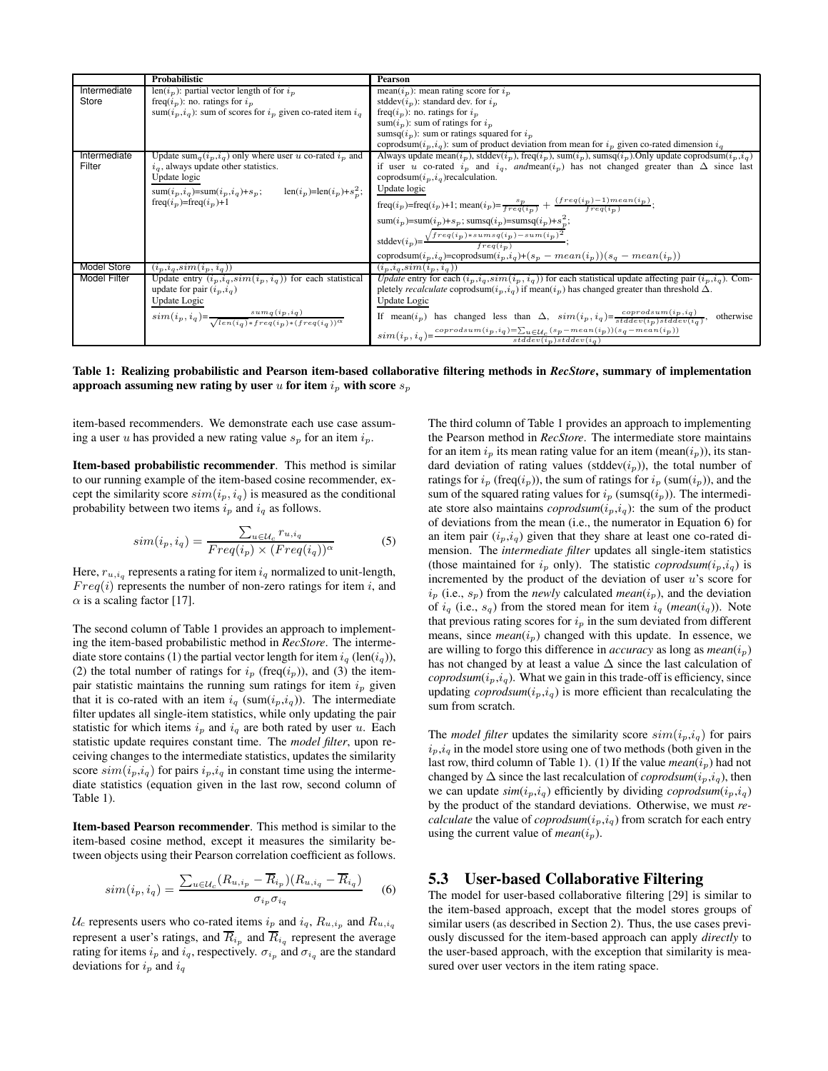|                     | <b>Probabilistic</b>                                                                                                                                               | Pearson                                                                                                                                                                                                                                         |
|---------------------|--------------------------------------------------------------------------------------------------------------------------------------------------------------------|-------------------------------------------------------------------------------------------------------------------------------------------------------------------------------------------------------------------------------------------------|
| Intermediate        | len( $i_n$ ): partial vector length of for $i_n$                                                                                                                   | mean( $i_p$ ): mean rating score for $i_p$                                                                                                                                                                                                      |
| Store               | freq( $i_p$ ): no. ratings for $i_p$                                                                                                                               | stddev $(i_n)$ : standard dev. for $i_n$                                                                                                                                                                                                        |
|                     | sum( $i_p$ , $i_q$ ): sum of scores for $i_p$ given co-rated item $i_q$                                                                                            | freq( $i_p$ ): no. ratings for $i_p$                                                                                                                                                                                                            |
|                     |                                                                                                                                                                    | sum( $i_p$ ): sum of ratings for $i_p$                                                                                                                                                                                                          |
|                     |                                                                                                                                                                    | sumsq( $i_p$ ): sum or ratings squared for $i_p$                                                                                                                                                                                                |
|                     |                                                                                                                                                                    | coprodsum( $i_p, i_q$ ): sum of product deviation from mean for $i_p$ given co-rated dimension $i_q$                                                                                                                                            |
| Intermediate        | Update sum <sub>q</sub> $(i_p, i_q)$ only where user u co-rated $i_p$ and                                                                                          | Always update mean(i <sub>p</sub> ), stddev(i <sub>p</sub> ), freq(i <sub>p</sub> ), sum(i <sub>p</sub> ), sumsq(i <sub>p</sub> ). Only update coprodsum(i <sub>p</sub> ,i <sub>q</sub> )                                                       |
| Filter              | $i_a$ , always update other statistics.                                                                                                                            | if user u co-rated $i_p$ and $i_q$ , and mean( $i_p$ ) has not changed greater than $\Delta$ since last                                                                                                                                         |
|                     | Update logic                                                                                                                                                       | coprodsum $(i_p, i_q)$ recalculation.                                                                                                                                                                                                           |
|                     | $\operatorname{sum}(i_p, i_q) \!\!=\!\! \operatorname{sum}(i_p, i_q) \!\!+\! s_p; \qquad \operatorname{len}(i_p) \!\!=\!\! \operatorname{len}(i_p) \!\!+\! s_p^2;$ | Update logic                                                                                                                                                                                                                                    |
|                     | freq( $i_p$ )=freq( $i_p$ )+1                                                                                                                                      | freq(i <sub>p</sub> )=freq(i <sub>p</sub> )+1; mean(i <sub>p</sub> )= $\frac{sp}{freq(i_p)} + \frac{(freq(i_p)-1)mean(i_p)}{freq(i_p)}$ ;                                                                                                       |
|                     |                                                                                                                                                                    | sum( $i_p$ )=sum( $i_p$ )+ $s_p$ ; sumsq( $i_p$ )=sumsq( $i_p$ )+ $s_p^2$ ;                                                                                                                                                                     |
|                     |                                                                                                                                                                    | stddev $(i_p) = \frac{\sqrt{freq(i_p) * sums(q(i_p) - sum(i_p)^2}}{freq(i_p)}$ ;                                                                                                                                                                |
|                     |                                                                                                                                                                    |                                                                                                                                                                                                                                                 |
| <b>Model Store</b>  |                                                                                                                                                                    | coprodsum( $i_p, i_q$ )=coprodsum( $i_p, i_q$ )+( $s_p - mean(i_p)$ )( $s_q - mean(i_p)$ )                                                                                                                                                      |
| <b>Model Filter</b> | $(i_p, i_q, sim(i_p, i_q))$                                                                                                                                        | $(i_p, i_q, sim(i_p, i_q))$                                                                                                                                                                                                                     |
|                     | Update entry $(i_p, i_q, sim(i_p, i_q))$ for each statistical<br>update for pair $(i_p, i_q)$                                                                      | <i>Update</i> entry for each $(i_p, i_q, sim(i_p, i_q))$ for each statistical update affecting pair $(i_p, i_q)$ . Com-<br>pletely <i>recalculate</i> coprodsum( $i_p$ , $i_q$ ) if mean( $i_p$ ) has changed greater than threshold $\Delta$ . |
|                     |                                                                                                                                                                    | Update Logic                                                                                                                                                                                                                                    |
|                     |                                                                                                                                                                    |                                                                                                                                                                                                                                                 |
|                     | $\frac{\text{Update Logic}}{\text{sim}(i_p, i_q)} = \frac{\text{sum}_q(i_p, i_q)}{\sqrt{\text{len}(i_q)\ast \text{freq}(i_p)\ast (\text{freq}(i_q))^\alpha}}$      | If mean(i <sub>p</sub> ) has changed less than $\Delta$ , $sim(i_p, i_q) = \frac{coprod_{sup}(i_p, i_q)}{stddev(i_p)stddev(i_q)}$ ,<br>otherwise                                                                                                |
|                     |                                                                                                                                                                    | $sim(i_p,i_q)\texttt{=} \frac{corrodsum(i_p,i_q)\texttt{=}\sum_{u\in \mathcal{U}_G}(s_p - mean(i_p))(s_q - mean(i_p))}{stddev(i_p)stddev(i_q)}$                                                                                                 |

**Table 1: Realizing probabilistic and Pearson item-based collaborative filtering methods in** *RecStore***, summary of implementation approach assuming new rating by user** u for item  $i_p$  with score  $s_p$ 

item-based recommenders. We demonstrate each use case assuming a user u has provided a new rating value  $s_p$  for an item  $i_p$ .

**Item-based probabilistic recommender**. This method is similar to our running example of the item-based cosine recommender, except the similarity score  $sim(i_p, i_q)$  is measured as the conditional probability between two items  $i_p$  and  $i_q$  as follows.

$$
sim(i_p, i_q) = \frac{\sum_{u \in \mathcal{U}_c} r_{u, i_q}}{Freq(i_p) \times (Freq(i_q))^{\alpha}}
$$
(5)

Here,  $r_{u,i_q}$  represents a rating for item  $i_q$  normalized to unit-length,  $Freq(i)$  represents the number of non-zero ratings for item i, and  $\alpha$  is a scaling factor [17].

The second column of Table 1 provides an approach to implementing the item-based probabilistic method in *RecStore*. The intermediate store contains (1) the partial vector length for item  $i_q$  (len( $i_q$ )), (2) the total number of ratings for  $i_p$  (freq( $i_p$ )), and (3) the itempair statistic maintains the running sum ratings for item  $i_p$  given that it is co-rated with an item  $i_q$  (sum $(i_p,i_q)$ ). The intermediate filter updates all single-item statistics, while only updating the pair statistic for which items  $i_p$  and  $i_q$  are both rated by user u. Each statistic update requires constant time. The *model filter*, upon receiving changes to the intermediate statistics, updates the similarity score  $sim(i_p,i_q)$  for pairs  $i_p,i_q$  in constant time using the intermediate statistics (equation given in the last row, second column of Table 1).

**Item-based Pearson recommender**. This method is similar to the item-based cosine method, except it measures the similarity between objects using their Pearson correlation coefficient as follows.

$$
sim(i_p, i_q) = \frac{\sum_{u \in \mathcal{U}_c} (R_{u, i_p} - \overline{R}_{i_p})(R_{u, i_q} - \overline{R}_{i_q})}{\sigma_{i_p} \sigma_{i_q}}
$$
(6)

 $U_c$  represents users who co-rated items  $i_p$  and  $i_q$ ,  $R_{u,i_p}$  and  $R_{u,i_q}$ represent a user's ratings, and  $R_{i_p}$  and  $R_{i_q}$  represent the average rating for items  $i_p$  and  $i_q$ , respectively.  $\sigma_{i_p}$  and  $\sigma_{i_q}$  are the standard deviations for  $i_p$  and  $i_q$ 

The third column of Table 1 provides an approach to implementing the Pearson method in *RecStore*. The intermediate store maintains for an item  $i_p$  its mean rating value for an item (mean $(i_p)$ ), its standard deviation of rating values (stddev( $i_p$ )), the total number of ratings for  $i_p$  (freq( $i_p$ )), the sum of ratings for  $i_p$  (sum( $i_p$ )), and the sum of the squared rating values for  $i_p$  (sumsq $(i_p)$ ). The intermediate store also maintains  $\mathit{corrodsum}(i_p,i_q)$ : the sum of the product of deviations from the mean (i.e., the numerator in Equation 6) for an item pair  $(i_p,i_q)$  given that they share at least one co-rated dimension. The *intermediate filter* updates all single-item statistics (those maintained for  $i_p$  only). The statistic *coprodsum*( $i_p$ , $i_q$ ) is incremented by the product of the deviation of user  $u$ 's score for  $i_p$  (i.e.,  $s_p$ ) from the *newly* calculated *mean*( $i_p$ ), and the deviation of  $i_q$  (i.e.,  $s_q$ ) from the stored mean for item  $i_q$  (*mean*( $i_q$ )). Note that previous rating scores for  $i_p$  in the sum deviated from different means, since  $mean(i_p)$  changed with this update. In essence, we are willing to forgo this difference in *accuracy* as long as  $mean(i_p)$ has not changed by at least a value ∆ since the last calculation of  $\alpha$ *coprodsum* $(i_p, i_q)$ . What we gain in this trade-off is efficiency, since updating  $\mathit{corrodsum}(i_p,i_q)$  is more efficient than recalculating the sum from scratch.

The *model filter* updates the similarity score  $sim(i_p,i_q)$  for pairs  $i_p, i_q$  in the model store using one of two methods (both given in the last row, third column of Table 1). (1) If the value  $mean(i_p)$  had not changed by  $\Delta$  since the last recalculation of *coprodsum*( $i_p, i_q$ ), then we can update  $\text{sim}(i_p, i_q)$  efficiently by dividing *coprodsum* $(i_p, i_q)$ by the product of the standard deviations. Otherwise, we must *recalculate* the value of *coprodsum* $(i_p, i_q)$  from scratch for each entry using the current value of  $mean(i_p)$ .

# **5.3 User-based Collaborative Filtering**

The model for user-based collaborative filtering [29] is similar to the item-based approach, except that the model stores groups of similar users (as described in Section 2). Thus, the use cases previously discussed for the item-based approach can apply *directly* to the user-based approach, with the exception that similarity is measured over user vectors in the item rating space.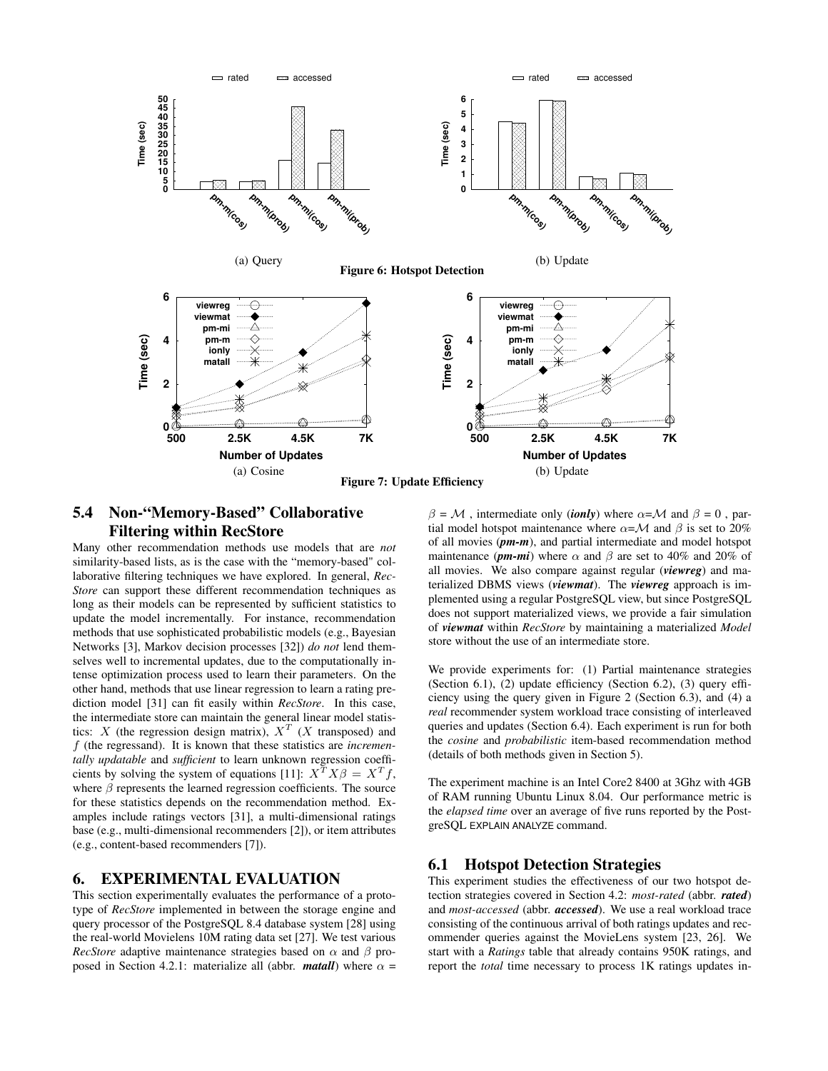

# **5.4 Non-"Memory-Based" Collaborative Filtering within RecStore**

Many other recommendation methods use models that are *not* similarity-based lists, as is the case with the "memory-based" collaborative filtering techniques we have explored. In general, *Rec-Store* can support these different recommendation techniques as long as their models can be represented by sufficient statistics to update the model incrementally. For instance, recommendation methods that use sophisticated probabilistic models (e.g., Bayesian Networks [3], Markov decision processes [32]) *do not* lend themselves well to incremental updates, due to the computationally intense optimization process used to learn their parameters. On the other hand, methods that use linear regression to learn a rating prediction model [31] can fit easily within *RecStore*. In this case, the intermediate store can maintain the general linear model statistics: X (the regression design matrix),  $X^T$  (X transposed) and f (the regressand). It is known that these statistics are *incrementally updatable* and *sufficient* to learn unknown regression coefficients by solving the system of equations [11]:  $X^T X \beta = X^T f$ , where  $\beta$  represents the learned regression coefficients. The source for these statistics depends on the recommendation method. Examples include ratings vectors [31], a multi-dimensional ratings base (e.g., multi-dimensional recommenders [2]), or item attributes (e.g., content-based recommenders [7]).

## **6. EXPERIMENTAL EVALUATION**

This section experimentally evaluates the performance of a prototype of *RecStore* implemented in between the storage engine and query processor of the PostgreSQL 8.4 database system [28] using the real-world Movielens 10M rating data set [27]. We test various *RecStore* adaptive maintenance strategies based on  $\alpha$  and  $\beta$  proposed in Section 4.2.1: materialize all (abbr. *matall*) where  $\alpha$  =

 $\beta = M$ , intermediate only (*ionly*) where  $\alpha = M$  and  $\beta = 0$ , partial model hotspot maintenance where  $\alpha = \mathcal{M}$  and  $\beta$  is set to 20% of all movies (*pm-m*), and partial intermediate and model hotspot maintenance ( $pm\text{-}mi$ ) where  $\alpha$  and  $\beta$  are set to 40% and 20% of all movies. We also compare against regular (*viewreg*) and materialized DBMS views (*viewmat*). The *viewreg* approach is implemented using a regular PostgreSQL view, but since PostgreSQL does not support materialized views, we provide a fair simulation of *viewmat* within *RecStore* by maintaining a materialized *Model* store without the use of an intermediate store.

We provide experiments for: (1) Partial maintenance strategies (Section 6.1), (2) update efficiency (Section 6.2), (3) query efficiency using the query given in Figure 2 (Section 6.3), and (4) a *real* recommender system workload trace consisting of interleaved queries and updates (Section 6.4). Each experiment is run for both the *cosine* and *probabilistic* item-based recommendation method (details of both methods given in Section 5).

The experiment machine is an Intel Core2 8400 at 3Ghz with 4GB of RAM running Ubuntu Linux 8.04. Our performance metric is the *elapsed time* over an average of five runs reported by the PostgreSQL EXPLAIN ANALYZE command.

# **6.1 Hotspot Detection Strategies**

This experiment studies the effectiveness of our two hotspot detection strategies covered in Section 4.2: *most-rated* (abbr. *rated*) and *most-accessed* (abbr. *accessed*). We use a real workload trace consisting of the continuous arrival of both ratings updates and recommender queries against the MovieLens system [23, 26]. We start with a *Ratings* table that already contains 950K ratings, and report the *total* time necessary to process 1K ratings updates in-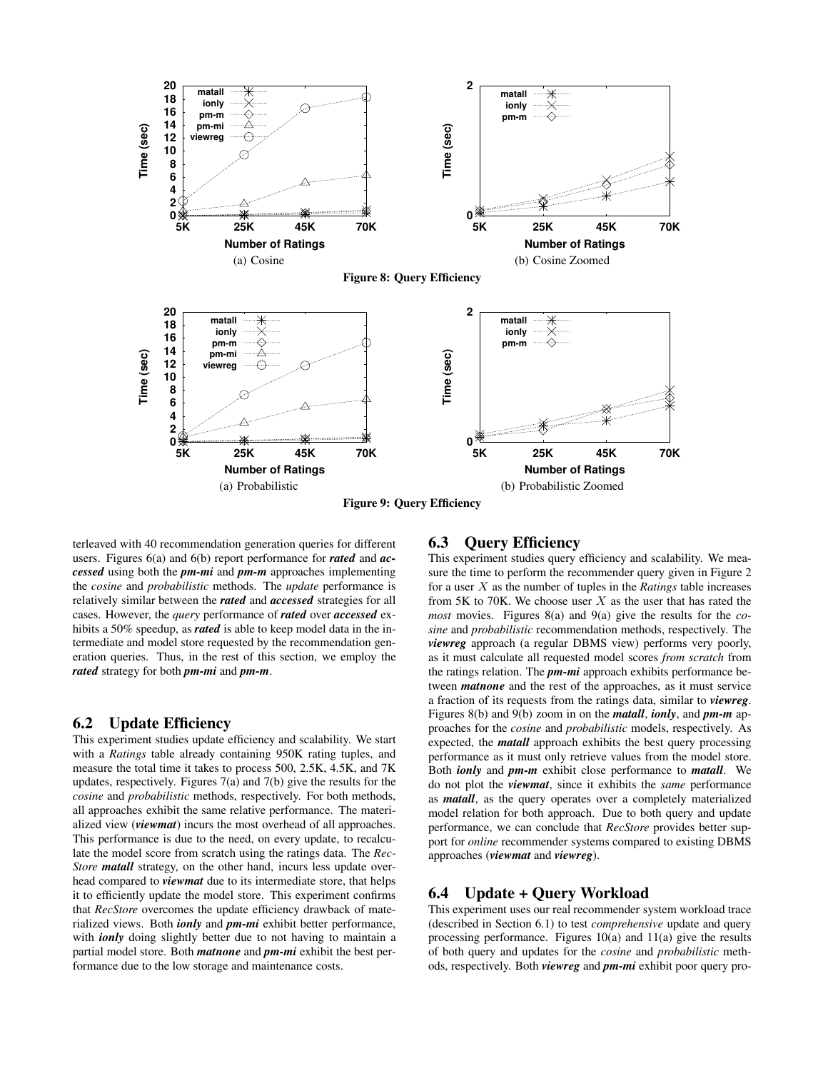

**Figure 9: Query Efficiency**

terleaved with 40 recommendation generation queries for different users. Figures 6(a) and 6(b) report performance for *rated* and *accessed* using both the *pm-mi* and *pm-m* approaches implementing the *cosine* and *probabilistic* methods. The *update* performance is relatively similar between the *rated* and *accessed* strategies for all cases. However, the *query* performance of *rated* over *accessed* exhibits a 50% speedup, as *rated* is able to keep model data in the intermediate and model store requested by the recommendation generation queries. Thus, in the rest of this section, we employ the *rated* strategy for both *pm-mi* and *pm-m*.

## **6.2 Update Efficiency**

This experiment studies update efficiency and scalability. We start with a *Ratings* table already containing 950K rating tuples, and measure the total time it takes to process 500, 2.5K, 4.5K, and 7K updates, respectively. Figures 7(a) and 7(b) give the results for the *cosine* and *probabilistic* methods, respectively. For both methods, all approaches exhibit the same relative performance. The materialized view (*viewmat*) incurs the most overhead of all approaches. This performance is due to the need, on every update, to recalculate the model score from scratch using the ratings data. The *Rec-Store matall* strategy, on the other hand, incurs less update overhead compared to *viewmat* due to its intermediate store, that helps it to efficiently update the model store. This experiment confirms that *RecStore* overcomes the update efficiency drawback of materialized views. Both *ionly* and *pm-mi* exhibit better performance, with *ionly* doing slightly better due to not having to maintain a partial model store. Both *matnone* and *pm-mi* exhibit the best performance due to the low storage and maintenance costs.

# **6.3 Query Efficiency**

This experiment studies query efficiency and scalability. We measure the time to perform the recommender query given in Figure 2 for a user X as the number of tuples in the *Ratings* table increases from 5K to 70K. We choose user  $X$  as the user that has rated the *most* movies. Figures 8(a) and 9(a) give the results for the *cosine* and *probabilistic* recommendation methods, respectively. The *viewreg* approach (a regular DBMS view) performs very poorly, as it must calculate all requested model scores *from scratch* from the ratings relation. The *pm-mi* approach exhibits performance between *matnone* and the rest of the approaches, as it must service a fraction of its requests from the ratings data, similar to *viewreg*. Figures 8(b) and 9(b) zoom in on the *matall*, *ionly*, and *pm-m* approaches for the *cosine* and *probabilistic* models, respectively. As expected, the *matall* approach exhibits the best query processing performance as it must only retrieve values from the model store. Both *ionly* and *pm-m* exhibit close performance to *matall*. We do not plot the *viewmat*, since it exhibits the *same* performance as *matall*, as the query operates over a completely materialized model relation for both approach. Due to both query and update performance, we can conclude that *RecStore* provides better support for *online* recommender systems compared to existing DBMS approaches (*viewmat* and *viewreg*).

# **6.4 Update + Query Workload**

This experiment uses our real recommender system workload trace (described in Section 6.1) to test *comprehensive* update and query processing performance. Figures 10(a) and 11(a) give the results of both query and updates for the *cosine* and *probabilistic* methods, respectively. Both *viewreg* and *pm-mi* exhibit poor query pro-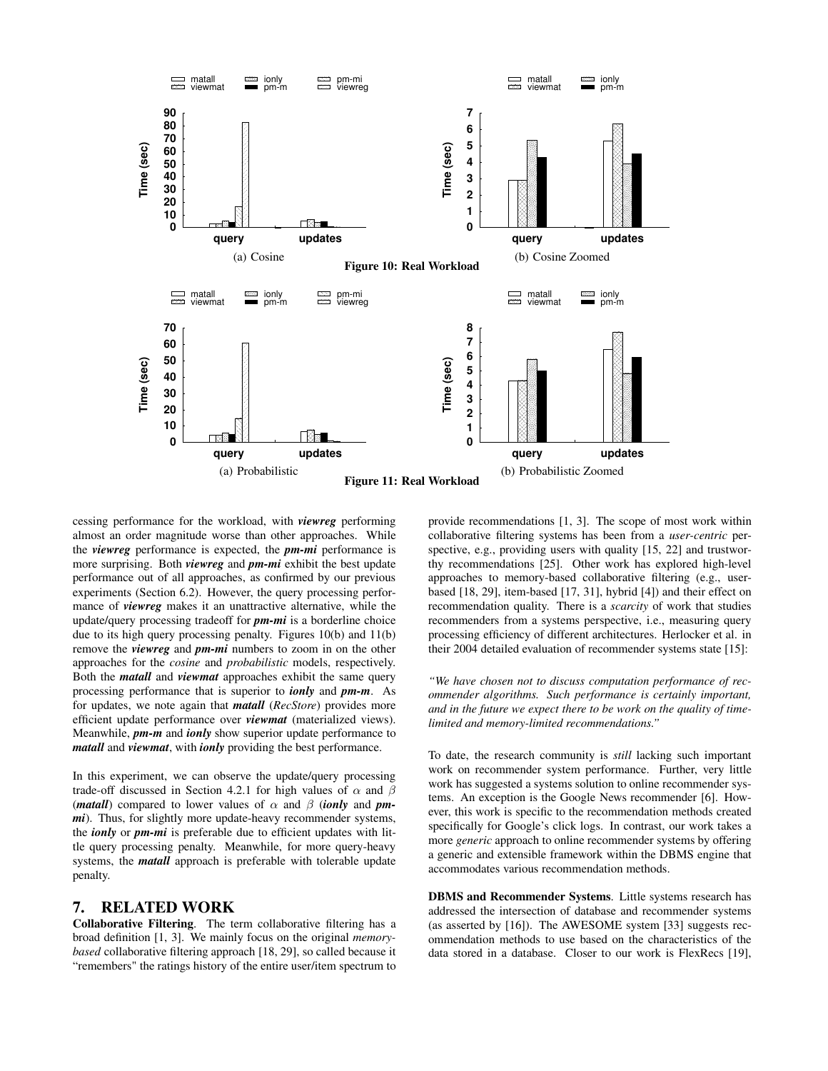

cessing performance for the workload, with *viewreg* performing almost an order magnitude worse than other approaches. While the *viewreg* performance is expected, the *pm-mi* performance is more surprising. Both *viewreg* and *pm-mi* exhibit the best update performance out of all approaches, as confirmed by our previous experiments (Section 6.2). However, the query processing performance of *viewreg* makes it an unattractive alternative, while the update/query processing tradeoff for *pm-mi* is a borderline choice due to its high query processing penalty. Figures 10(b) and 11(b) remove the *viewreg* and *pm-mi* numbers to zoom in on the other approaches for the *cosine* and *probabilistic* models, respectively. Both the *matall* and *viewmat* approaches exhibit the same query processing performance that is superior to *ionly* and *pm-m*. As for updates, we note again that *matall* (*RecStore*) provides more efficient update performance over *viewmat* (materialized views). Meanwhile, *pm-m* and *ionly* show superior update performance to *matall* and *viewmat*, with *ionly* providing the best performance.

In this experiment, we can observe the update/query processing trade-off discussed in Section 4.2.1 for high values of  $\alpha$  and  $\beta$ (*matall*) compared to lower values of  $\alpha$  and  $\beta$  (*ionly* and *pmmi*). Thus, for slightly more update-heavy recommender systems, the *ionly* or *pm-mi* is preferable due to efficient updates with little query processing penalty. Meanwhile, for more query-heavy systems, the *matall* approach is preferable with tolerable update penalty.

# **7. RELATED WORK**

**Collaborative Filtering**. The term collaborative filtering has a broad definition [1, 3]. We mainly focus on the original *memorybased* collaborative filtering approach [18, 29], so called because it "remembers" the ratings history of the entire user/item spectrum to

provide recommendations [1, 3]. The scope of most work within collaborative filtering systems has been from a *user-centric* perspective, e.g., providing users with quality [15, 22] and trustworthy recommendations [25]. Other work has explored high-level approaches to memory-based collaborative filtering (e.g., userbased [18, 29], item-based [17, 31], hybrid [4]) and their effect on recommendation quality. There is a *scarcity* of work that studies recommenders from a systems perspective, i.e., measuring query processing efficiency of different architectures. Herlocker et al. in their 2004 detailed evaluation of recommender systems state [15]:

*"We have chosen not to discuss computation performance of recommender algorithms. Such performance is certainly important, and in the future we expect there to be work on the quality of timelimited and memory-limited recommendations."*

To date, the research community is *still* lacking such important work on recommender system performance. Further, very little work has suggested a systems solution to online recommender systems. An exception is the Google News recommender [6]. However, this work is specific to the recommendation methods created specifically for Google's click logs. In contrast, our work takes a more *generic* approach to online recommender systems by offering a generic and extensible framework within the DBMS engine that accommodates various recommendation methods.

**DBMS and Recommender Systems**. Little systems research has addressed the intersection of database and recommender systems (as asserted by [16]). The AWESOME system [33] suggests recommendation methods to use based on the characteristics of the data stored in a database. Closer to our work is FlexRecs [19],